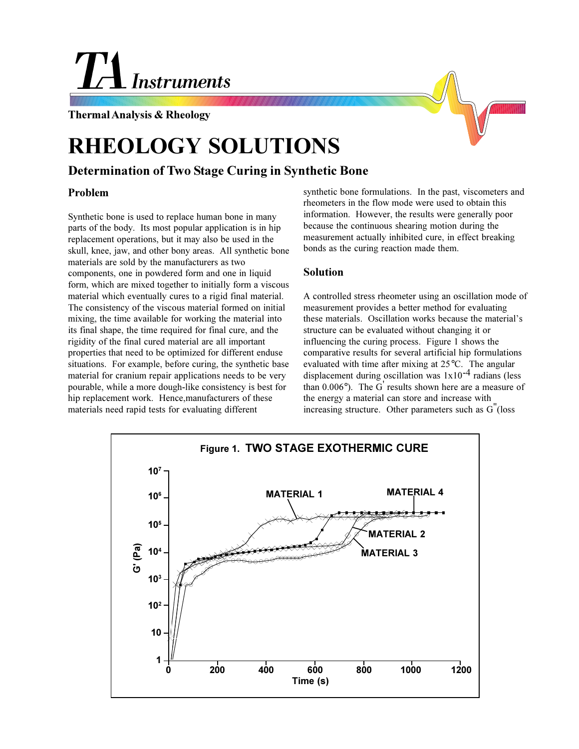# **Instruments**

**Thermal Analysis & Rheology**

# **RHEOLOGY SOLUTIONS**

## **Determination of Two Stage Curing in Synthetic Bone**

### **Problem**

Synthetic bone is used to replace human bone in many parts of the body. Its most popular application is in hip replacement operations, but it may also be used in the skull, knee, jaw, and other bony areas. All synthetic bone materials are sold by the manufacturers as two components, one in powdered form and one in liquid form, which are mixed together to initially form a viscous material which eventually cures to a rigid final material. The consistency of the viscous material formed on initial mixing, the time available for working the material into its final shape, the time required for final cure, and the rigidity of the final cured material are all important properties that need to be optimized for different enduse situations. For example, before curing, the synthetic base material for cranium repair applications needs to be very pourable, while a more dough-like consistency is best for hip replacement work. Hence,manufacturers of these materials need rapid tests for evaluating different

synthetic bone formulations. In the past, viscometers and rheometers in the flow mode were used to obtain this information. However, the results were generally poor because the continuous shearing motion during the measurement actually inhibited cure, in effect breaking bonds as the curing reaction made them.

#### **Solution**

A controlled stress rheometer using an oscillation mode of measurement provides a better method for evaluating these materials. Oscillation works because the material's structure can be evaluated without changing it or influencing the curing process. Figure 1 shows the comparative results for several artificial hip formulations evaluated with time after mixing at 25°C. The angular displacement during oscillation was  $1x10^{-4}$  radians (less than  $0.006^{\circ}$ ). The G' results shown here are a measure of the energy a material can store and increase with increasing structure. Other parameters such as G"(loss